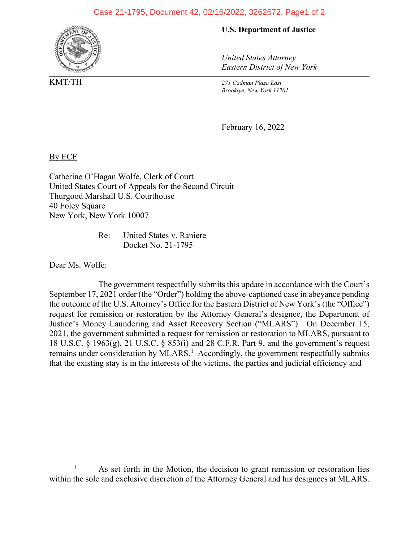## Case 21-1795, Document 42, 02/16/2022, 3262672, Page1 of 2



**U.S. Department of Justice**

*United States Attorney Eastern District of New York*

KMT/TH *271 Cadman Plaza East Brooklyn, New York 11201*

February 16, 2022

By ECF

Catherine O'Hagan Wolfe, Clerk of Court United States Court of Appeals for the Second Circuit Thurgood Marshall U.S. Courthouse 40 Foley Square New York, New York 10007

> Re: United States v. Raniere Docket No. 21-1795

Dear Ms. Wolfe:

The government respectfully submits this update in accordance with the Court's September 17, 2021 order (the "Order") holding the above-captioned case in abeyance pending the outcome of the U.S. Attorney's Office for the Eastern District of New York's (the "Office") request for remission or restoration by the Attorney General's designee, the Department of Justice's Money Laundering and Asset Recovery Section ("MLARS"). On December 15, 2021, the government submitted a request for remission or restoration to MLARS, pursuant to 18 U.S.C. § 1963(g), 21 U.S.C. § 853(i) and 28 C.F.R. Part 9, and the government's request remains under consideration by MLARS.<sup>[1](#page-0-0)</sup> Accordingly, the government respectfully submits that the existing stay is in the interests of the victims, the parties and judicial efficiency and

<span id="page-0-0"></span><sup>&</sup>lt;sup>1</sup> As set forth in the Motion, the decision to grant remission or restoration lies within the sole and exclusive discretion of the Attorney General and his designees at MLARS.